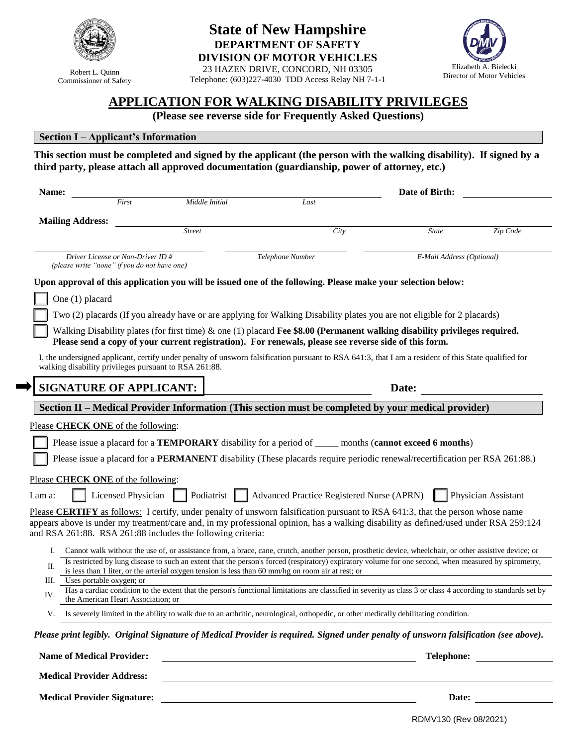

Robert L. Quinn Commissioner of Safety

# **State of New Hampshire DEPARTMENT OF SAFETY DIVISION OF MOTOR VEHICLES**

23 HAZEN DRIVE, CONCORD, NH 03305 Telephone: (603)227-4030 TDD Access Relay NH 7-1-1



# **APPLICATION FOR WALKING DISABILITY PRIVILEGES**

**(Please see reverse side for Frequently Asked Questions)**

#### **Section I – Applicant's Information**

**This section must be completed and signed by the applicant (the person with the walking disability). If signed by a third party, please attach all approved documentation (guardianship, power of attorney, etc.)**

| Name:                                                                             |                                                             |                                                                                                                                                                                                                                                                        | Date of Birth:            |                     |  |
|-----------------------------------------------------------------------------------|-------------------------------------------------------------|------------------------------------------------------------------------------------------------------------------------------------------------------------------------------------------------------------------------------------------------------------------------|---------------------------|---------------------|--|
|                                                                                   | First<br>Middle Initial                                     | Last                                                                                                                                                                                                                                                                   |                           |                     |  |
| <b>Mailing Address:</b>                                                           |                                                             |                                                                                                                                                                                                                                                                        |                           |                     |  |
|                                                                                   | <b>Street</b>                                               | City                                                                                                                                                                                                                                                                   | <b>State</b>              | Zip Code            |  |
| Driver License or Non-Driver ID #<br>(please write "none" if you do not have one) |                                                             | Telephone Number                                                                                                                                                                                                                                                       | E-Mail Address (Optional) |                     |  |
|                                                                                   |                                                             | Upon approval of this application you will be issued one of the following. Please make your selection below:                                                                                                                                                           |                           |                     |  |
| One (1) placard                                                                   |                                                             |                                                                                                                                                                                                                                                                        |                           |                     |  |
|                                                                                   |                                                             | Two (2) placards (If you already have or are applying for Walking Disability plates you are not eligible for 2 placards)                                                                                                                                               |                           |                     |  |
|                                                                                   |                                                             | Walking Disability plates (for first time) $\&$ one (1) placard Fee \$8.00 (Permanent walking disability privileges required.<br>Please send a copy of your current registration). For renewals, please see reverse side of this form.                                 |                           |                     |  |
|                                                                                   | walking disability privileges pursuant to RSA 261:88.       | I, the undersigned applicant, certify under penalty of unsworn falsification pursuant to RSA 641:3, that I am a resident of this State qualified for                                                                                                                   |                           |                     |  |
| <b>SIGNATURE OF APPLICANT:</b>                                                    |                                                             |                                                                                                                                                                                                                                                                        | Date:                     |                     |  |
|                                                                                   |                                                             | Section II - Medical Provider Information (This section must be completed by your medical provider)                                                                                                                                                                    |                           |                     |  |
| Please CHECK ONE of the following:                                                |                                                             |                                                                                                                                                                                                                                                                        |                           |                     |  |
|                                                                                   |                                                             | Please issue a placard for a <b>TEMPORARY</b> disability for a period of _______ months (cannot exceed 6 months)                                                                                                                                                       |                           |                     |  |
|                                                                                   |                                                             | Please issue a placard for a <b>PERMANENT</b> disability (These placards require periodic renewal/recertification per RSA 261:88.)                                                                                                                                     |                           |                     |  |
| Please CHECK ONE of the following:                                                |                                                             |                                                                                                                                                                                                                                                                        |                           |                     |  |
| I am a:                                                                           | Licensed Physician $\ $                                     | Podiatrist     Advanced Practice Registered Nurse (APRN)                                                                                                                                                                                                               |                           | Physician Assistant |  |
|                                                                                   | and RSA 261:88. RSA 261:88 includes the following criteria: | Please CERTIFY as follows: I certify, under penalty of unsworn falsification pursuant to RSA 641:3, that the person whose name<br>appears above is under my treatment/care and, in my professional opinion, has a walking disability as defined/used under RSA 259:124 |                           |                     |  |
| Ι.                                                                                |                                                             | Cannot walk without the use of, or assistance from, a brace, cane, crutch, another person, prosthetic device, wheelchair, or other assistive device; or                                                                                                                |                           |                     |  |
| П.                                                                                |                                                             | Is restricted by lung disease to such an extent that the person's forced (respiratory) expiratory volume for one second, when measured by spirometry,<br>is less than 1 liter, or the arterial oxygen tension is less than 60 mm/hg on room air at rest; or            |                           |                     |  |
| Ш.<br>Uses portable oxygen; or                                                    |                                                             | Has a cardiac condition to the extent that the person's functional limitations are classified in severity as class 3 or class 4 according to standards set by                                                                                                          |                           |                     |  |
| IV.<br>the American Heart Association; or                                         |                                                             |                                                                                                                                                                                                                                                                        |                           |                     |  |
|                                                                                   |                                                             | V. Is severely limited in the ability to walk due to an arthritic, neurological, orthopedic, or other medically debilitating condition.                                                                                                                                |                           |                     |  |
|                                                                                   |                                                             | Please print legibly. Original Signature of Medical Provider is required. Signed under penalty of unsworn falsification (see above).                                                                                                                                   |                           |                     |  |
| <b>Name of Medical Provider:</b>                                                  |                                                             |                                                                                                                                                                                                                                                                        | Telephone:                |                     |  |
| <b>Medical Provider Address:</b>                                                  |                                                             |                                                                                                                                                                                                                                                                        |                           |                     |  |
| <b>Medical Provider Signature:</b>                                                |                                                             |                                                                                                                                                                                                                                                                        | Date:                     |                     |  |